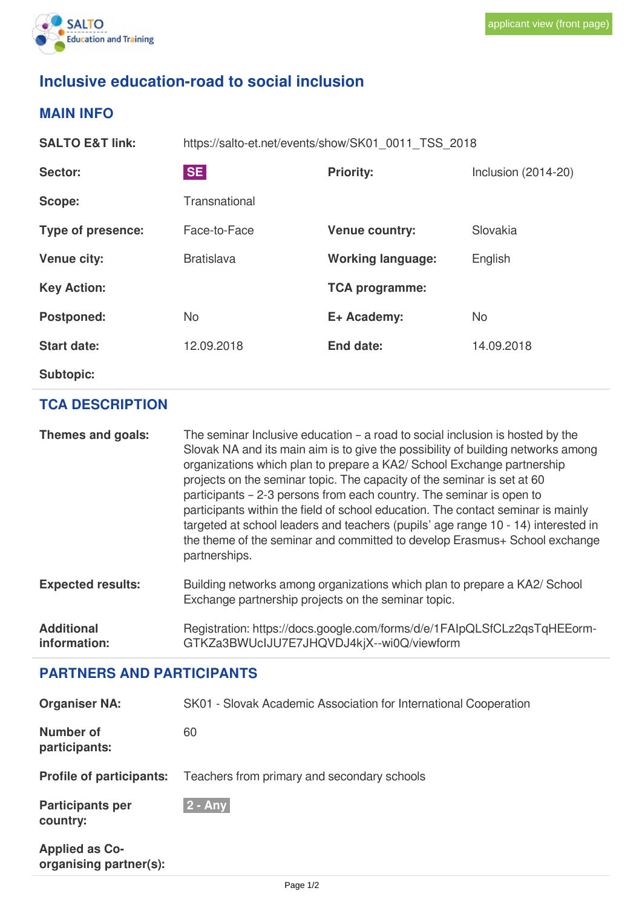

# **Inclusive education-road to social inclusion**

### **MAIN INFO**

**SALTO E&T link:** https://salto-et.net/events/show/SK01\_0011\_TSS\_2018 **Sector:** SE SE **Priority:** Inclusion (2014-20) **Scope:** Transnational **Type of presence:** Face-to-Face **Venue country:** Slovakia **Venue city:** Bratislava **Working language:** English **Key Action: TCA programme: Postponed:** No **E+ Academy:** No **Start date:** 12.09.2018 **End date:** 14.09.2018

**Subtopic:**

**information:**

### **TCA DESCRIPTION**

**Themes and goals:** The seminar Inclusive education – a road to social inclusion is hosted by the Slovak NA and its main aim is to give the possibility of building networks among organizations which plan to prepare a KA2/ School Exchange partnership projects on the seminar topic. The capacity of the seminar is set at 60 participants – 2-3 persons from each country. The seminar is open to participants within the field of school education. The contact seminar is mainly targeted at school leaders and teachers (pupils' age range 10 - 14) interested in the theme of the seminar and committed to develop Erasmus+ School exchange partnerships. **Expected results:** Building networks among organizations which plan to prepare a KA2/ School Exchange partnership projects on the seminar topic. **Additional** Registration: https://docs.google.com/forms/d/e/1FAIpQLSfCLz2qsTqHEEorm-

GTKZa3BWUcIJU7E7JHQVDJ4kjX--wi0Q/viewform

# **PARTNERS AND PARTICIPANTS**

| <b>Organiser NA:</b>                            | SK01 - Slovak Academic Association for International Cooperation |  |  |
|-------------------------------------------------|------------------------------------------------------------------|--|--|
| <b>Number of</b><br>participants:               | 60                                                               |  |  |
| <b>Profile of participants:</b>                 | Teachers from primary and secondary schools                      |  |  |
| <b>Participants per</b><br>country:             | $2 - Any$                                                        |  |  |
| <b>Applied as Co-</b><br>organising partner(s): |                                                                  |  |  |